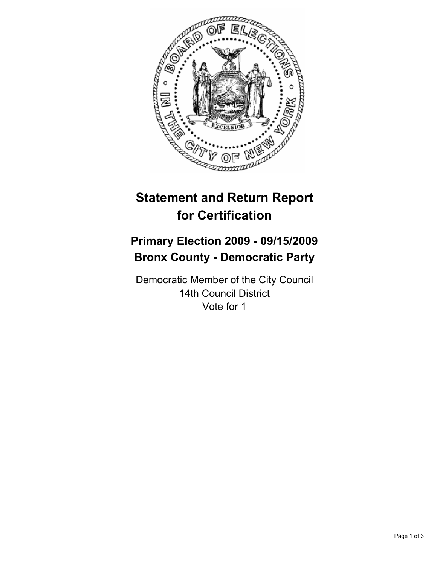

# **Statement and Return Report for Certification**

## **Primary Election 2009 - 09/15/2009 Bronx County - Democratic Party**

Democratic Member of the City Council 14th Council District Vote for 1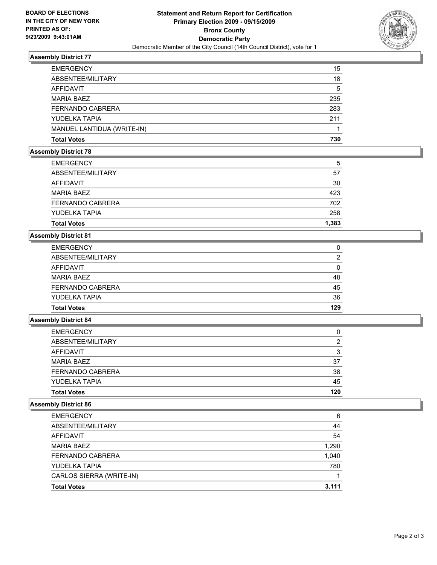

### **Assembly District 77**

| <b>EMERGENCY</b>           | 15  |
|----------------------------|-----|
| ABSENTEE/MILITARY          | 18  |
| AFFIDAVIT                  | 5   |
| MARIA BAEZ                 | 235 |
| FERNANDO CABRERA           | 283 |
| YUDELKA TAPIA              | 211 |
| MANUEL LANTIDUA (WRITE-IN) |     |
| <b>Total Votes</b>         | 730 |

## **Assembly District 78**

| <b>EMERGENCY</b>   | 5     |
|--------------------|-------|
| ABSENTEE/MILITARY  | 57    |
| AFFIDAVIT          | 30    |
| <b>MARIA BAEZ</b>  | 423   |
| FERNANDO CABRERA   | 702   |
| YUDELKA TAPIA      | 258   |
| <b>Total Votes</b> | 1.383 |
|                    |       |

## **Assembly District 81**

| <b>EMERGENCY</b>        | 0   |
|-------------------------|-----|
| ABSENTEE/MILITARY       | 2   |
| AFFIDAVIT               | 0   |
| MARIA BAEZ              | 48  |
| <b>FERNANDO CABRERA</b> | 45  |
| YUDELKA TAPIA           | 36  |
| <b>Total Votes</b>      | 129 |

## **Assembly District 84**

| <b>Total Votes</b> | 120 |
|--------------------|-----|
| YUDELKA TAPIA      | 45  |
| FERNANDO CABRERA   | 38  |
| <b>MARIA BAEZ</b>  | 37  |
| AFFIDAVIT          | 3   |
| ABSENTEE/MILITARY  | 2   |
| <b>EMERGENCY</b>   | 0   |

### **Assembly District 86**

| <b>Total Votes</b>       | 3.111 |
|--------------------------|-------|
| CARLOS SIERRA (WRITE-IN) |       |
| YUDELKA TAPIA            | 780   |
| <b>FERNANDO CABRERA</b>  | 1,040 |
| <b>MARIA BAFZ</b>        | 1,290 |
| <b>AFFIDAVIT</b>         | 54    |
| ABSENTEE/MILITARY        | 44    |
| <b>EMERGENCY</b>         | 6     |